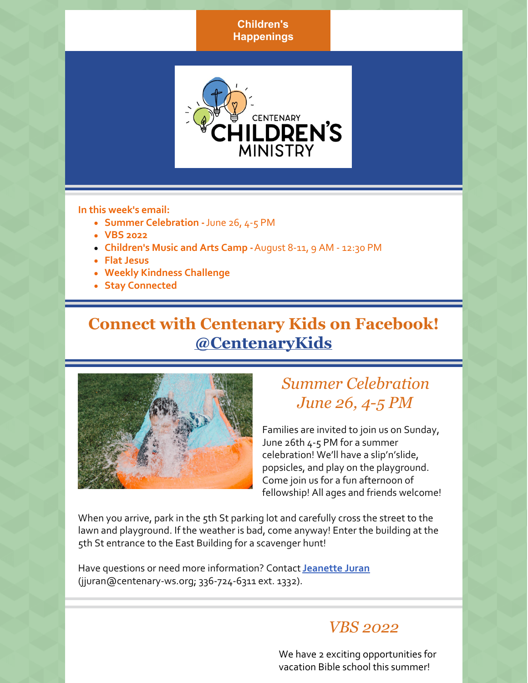**Children's Happenings**



**In this week's email:**

- **Summer Celebration -**June 26, 4-5 PM
- **VBS 2022**
- **Children's Music and Arts Camp -**August 8-11, 9 AM 12:30 PM
- **Flat Jesus**
- **Weekly Kindness Challenge**
- **Stay Connected**

# **Connect with Centenary Kids on Facebook! [@CentenaryKids](https://www.facebook.com/CentenaryKids)**



# *Summer Celebration June 26, 4-5 PM*

Families are invited to join us on Sunday, June 26th 4-5 PM for a summer celebration! We'll have a slip'n'slide, popsicles, and play on the playground. Come join us for a fun afternoon of fellowship! All ages and friends welcome!

When you arrive, park in the 5th St parking lot and carefully cross the street to the lawn and playground. If the weather is bad, come anyway! Enter the building at the 5th St entrance to the East Building for a scavenger hunt!

Have questions or need more information? Contact**[Jeanette](mailto:jjuran@centenary-ws.org) Juran** (jjuran@centenary-ws.org; 336-724-6311 ext. 1332).

### *VBS 2022*

We have 2 exciting opportunities for vacation Bible school this summer!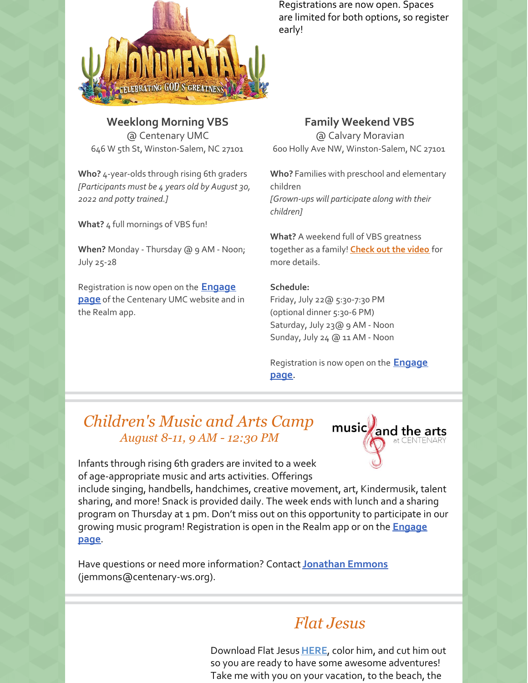

**Weeklong Morning VBS** @ Centenary UMC 646 W 5th St, Winston-Salem, NC 27101

**Who?** 4-year-olds through rising 6th graders *[Participants must be 4 years old by August 30, 2022 and potty trained.]*

**What?** 4 full mornings of VBS fun!

**When?** Monday - Thursday @ 9 AM - Noon; July 25-28

[Registration](https://r20.rs6.net/tn.jsp?f=0012SS9DVqrMUVW0Xyp85grQQP8eNlQFjwXGjQ5KcWP8jXA1258BORm-lpTcydJ2QUbAQQzMYcz4J9P9oqFP9ghBxMdHC68YRhmazK_IYiXF8UPlvbafkBqGq_Jy9NQDvpwpyhICAUnMWr_o8Mc_0OtpRrpcOT1JXvX&c=epkA8n2V8CpDPgwZIe189YHh-WEBsT0nyPy3rz9I7fYqELlk8ZXAVA==&ch=QNzJVyJP7oWtLBnx0lbPns12_G_pNLA0sncWHWj98NZzNhuyyCJxHg==) is now open on the **Engage page** of the Centenary UMC website and in the Realm app.

Registrations are now open. Spaces are limited for both options, so register early!

**Family Weekend VBS** @ Calvary Moravian 600 Holly Ave NW, Winston-Salem, NC 27101

**Who?** Families with preschool and elementary children *[Grown-ups will participate along with their children]*

**What?** A weekend full of VBS greatness together as a family! **[Check](https://r20.rs6.net/tn.jsp?f=0012SS9DVqrMUVW0Xyp85grQQP8eNlQFjwXGjQ5KcWP8jXA1258BORm-pnE_E5WR_5PLmZ2Kj__KltVTs4Wn2tTt-HCJQaE96EL2YHmzciBiQoyNk4hGkNrunwm6eXK_AWw5ybSECHcKEZU677ZCCK30Q==&c=epkA8n2V8CpDPgwZIe189YHh-WEBsT0nyPy3rz9I7fYqELlk8ZXAVA==&ch=QNzJVyJP7oWtLBnx0lbPns12_G_pNLA0sncWHWj98NZzNhuyyCJxHg==) out the video** for more details.

#### **Schedule:**

Friday, July 22@ 5:30-7:30 PM (optional dinner 5:30-6 PM) Saturday, July 23@ 9 AM - Noon Sunday, July 24 @ 11 AM - Noon

[Registration](https://r20.rs6.net/tn.jsp?f=0012SS9DVqrMUVW0Xyp85grQQP8eNlQFjwXGjQ5KcWP8jXA1258BORm-lpTcydJ2QUbAQQzMYcz4J9P9oqFP9ghBxMdHC68YRhmazK_IYiXF8UPlvbafkBqGq_Jy9NQDvpwpyhICAUnMWr_o8Mc_0OtpRrpcOT1JXvX&c=epkA8n2V8CpDPgwZIe189YHh-WEBsT0nyPy3rz9I7fYqELlk8ZXAVA==&ch=QNzJVyJP7oWtLBnx0lbPns12_G_pNLA0sncWHWj98NZzNhuyyCJxHg==) is now open on the **Engage page**.

## *Children's Music and Arts Camp August 8-11, 9 AM - 12:30 PM*



Infants through rising 6th graders are invited to a week of age-appropriate music and arts activities. Offerings

include singing, handbells, handchimes, creative movement, art, Kindermusik, talent sharing, and more! Snack is provided daily. The week ends with lunch and a sharing program on Thursday at 1 pm. Don't miss out on this opportunity to participate in our growing music program! [Registration](https://www.centenary-ws.org/engage) is open in the Realm app or on the **Engage page**.

Have questions or need more information? Contact**[Jonathan](mailto:jemmons@centenary-ws.org) Emmons** (jemmons@centenary-ws.org).

# *Flat Jesus*

Download Flat Jesus**[HERE](https://files.constantcontact.com/0673047e001/42c1c806-a140-4f27-8525-df861457b6d7.pdf?rdr=true)**, color him, and cut him out so you are ready to have some awesome adventures! Take me with you on your vacation, to the beach, the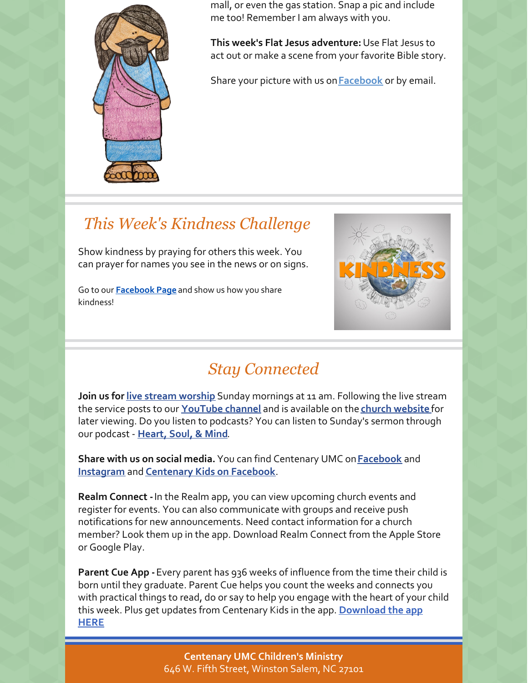

mall, or even the gas station. Snap a pic and include me too! Remember I am always with you.

**This week's Flat Jesus adventure:**Use Flat Jesus to act out or make a scene from your favorite Bible story.

Share your picture with us on**[Facebook](https://www.facebook.com/CentenaryKids)** or by email.

## *This Week's Kindness Challenge*

Show kindness by praying for others this week. You can prayer for names you see in the news or on signs.

Go to our **[Facebook](https://www.facebook.com/CentenaryKids) Page** and show us how you share kindness!



# *Stay Connected*

**Join us for live stream [worship](https://www.centenary-ws.org/live-stream)** Sunday mornings at 11 am. Following the live stream the service posts to our **[YouTube](https://www.youtube.com/user/CentenaryUMC1) channel** and is available on the **church [website](https://www.centenary-ws.org/worship-archives)** for later viewing. Do you listen to podcasts? You can listen to Sunday's sermon through our podcast - **[Heart,](https://podcasts.google.com/feed/aHR0cDovL2ZlZWRzLnNvdW5kY2xvdWQuY29tL3VzZXJzL3NvdW5kY2xvdWQ6dXNlcnM6NTczMDk2OTQ1L3NvdW5kcy5yc3M) Soul, & Mind**.

**Share with us on social media.** You can find Centenary UMC on**[Facebook](https://www.facebook.com/centenarymethodist/)** and **[Instagram](https://www.instagram.com/centenary_umc/)** and **[Centenary](https://www.facebook.com/CentenaryKids) Kids on Facebook**.

**Realm Connect -**In the Realm app, you can view upcoming church events and register for events. You can also communicate with groups and receive push notifications for new announcements. Need contact information for a church member? Look them up in the app. Download Realm Connect from the Apple Store or Google Play.

**Parent Cue App -**Every parent has 936 weeks of influence from the time their child is born until they graduate. Parent Cue helps you count the weeks and connects you with practical things to read, do or say to help you engage with the heart of your child this week. Plus get updates from Centenary Kids in the app. **[Download](https://theparentcue.org/app/) the app HERE**

> **Centenary UMC Children's Ministry** 646 W. Fifth Street, Winston Salem, NC 27101